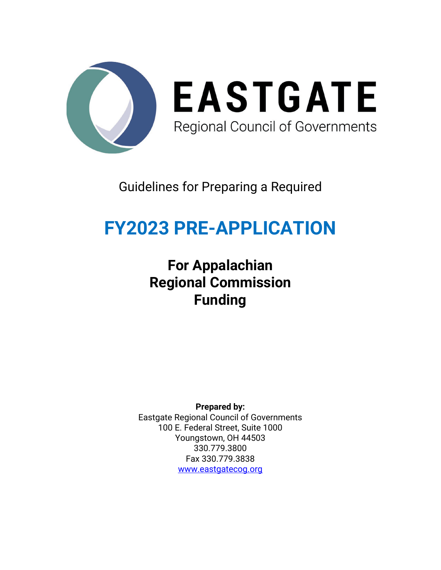

### Guidelines for Preparing a Required

## **FY2023 PRE-APPLICATION**

## **For Appalachian Regional Commission Funding**

**Prepared by:** Eastgate Regional Council of Governments 100 E. Federal Street, Suite 1000 Youngstown, OH 44503 330.779.3800 Fax 330.779.3838 [www.eastgatecog.org](http://www.eastgatecog.org/)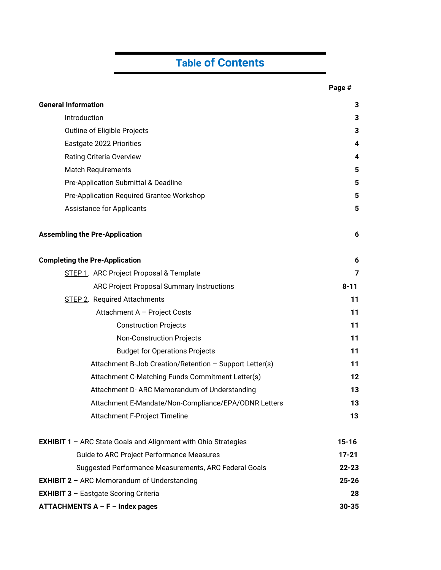### **Table of Contents**

|                                                                         | Page #    |
|-------------------------------------------------------------------------|-----------|
| <b>General Information</b>                                              | 3         |
| Introduction                                                            | 3         |
| Outline of Eligible Projects                                            | 3         |
| Eastgate 2022 Priorities                                                | 4         |
| <b>Rating Criteria Overview</b>                                         | 4         |
| <b>Match Requirements</b>                                               | 5         |
| Pre-Application Submittal & Deadline                                    | 5         |
| Pre-Application Required Grantee Workshop                               | 5         |
| <b>Assistance for Applicants</b>                                        | 5         |
| <b>Assembling the Pre-Application</b>                                   | 6         |
| <b>Completing the Pre-Application</b>                                   | 6         |
| STEP 1. ARC Project Proposal & Template                                 | 7         |
| <b>ARC Project Proposal Summary Instructions</b>                        | $8 - 11$  |
| <b>STEP 2. Required Attachments</b>                                     | 11        |
| Attachment A - Project Costs                                            | 11        |
| <b>Construction Projects</b>                                            | 11        |
| <b>Non-Construction Projects</b>                                        | 11        |
| <b>Budget for Operations Projects</b>                                   | 11        |
| Attachment B-Job Creation/Retention - Support Letter(s)                 | 11        |
| Attachment C-Matching Funds Commitment Letter(s)                        | 12        |
| Attachment D- ARC Memorandum of Understanding                           | 13        |
| Attachment E-Mandate/Non-Compliance/EPA/ODNR Letters                    | 13        |
| Attachment F-Project Timeline                                           | 13        |
| <b>EXHIBIT 1</b> $-$ ARC State Goals and Alignment with Ohio Strategies | $15 - 16$ |
| <b>Guide to ARC Project Performance Measures</b>                        | $17 - 21$ |
| Suggested Performance Measurements, ARC Federal Goals                   | $22 - 23$ |
| <b>EXHIBIT 2</b> - ARC Memorandum of Understanding                      | $25 - 26$ |
| <b>EXHIBIT 3 - Eastgate Scoring Criteria</b>                            |           |
| <b>ATTACHMENTS A – F – Index pages</b>                                  | $30 - 35$ |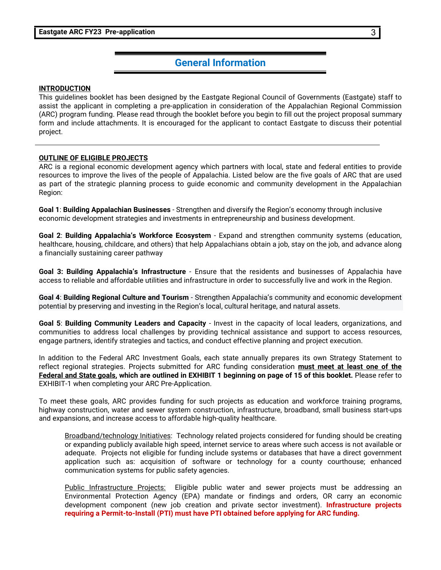#### **General Information**

#### **INTRODUCTION**

This guidelines booklet has been designed by the Eastgate Regional Council of Governments (Eastgate) staff to assist the applicant in completing a pre-application in consideration of the Appalachian Regional Commission (ARC) program funding. Please read through the booklet before you begin to fill out the project proposal summary form and include attachments. It is encouraged for the applicant to contact Eastgate to discuss their potential project.

#### **OUTLINE OF ELIGIBLE PROJECTS**

ARC is a regional economic development agency which partners with local, state and federal entities to provide resources to improve the lives of the people of Appalachia. Listed below are the five goals of ARC that are used as part of the strategic planning process to guide economic and community development in the Appalachian Region:

**Goal 1**: **Building Appalachian Businesses** - Strengthen and diversify the Region's economy through inclusive economic development strategies and investments in entrepreneurship and business development.

**Goal 2**: **Building Appalachia's Workforce Ecosystem** - Expand and strengthen community systems (education, healthcare, housing, childcare, and others) that help Appalachians obtain a job, stay on the job, and advance along a financially sustaining career pathway

**Goal 3: Building Appalachia's Infrastructure** - Ensure that the residents and businesses of Appalachia have access to reliable and affordable utilities and infrastructure in order to successfully live and work in the Region.

**Goal 4**: **Building Regional Culture and Tourism** - Strengthen Appalachia's community and economic development potential by preserving and investing in the Region's local, cultural heritage, and natural assets.

**Goal 5**: **Building Community Leaders and Capacity** - Invest in the capacity of local leaders, organizations, and communities to address local challenges by providing technical assistance and support to access resources, engage partners, identify strategies and tactics, and conduct effective planning and project execution.

In addition to the Federal ARC Investment Goals, each state annually prepares its own Strategy Statement to reflect regional strategies. Projects submitted for ARC funding consideration **must meet at least one of the Federal and State goals, which are outlined in EXHIBIT 1 beginning on page of 15 of this booklet.** Please refer to EXHIBIT-1 when completing your ARC Pre-Application.

To meet these goals, ARC provides funding for such projects as education and workforce training programs, highway construction, water and sewer system construction, infrastructure, broadband, small business start-ups and expansions, and increase access to affordable high-quality healthcare.

Broadband/technology Initiatives: Technology related projects considered for funding should be creating or expanding publicly available high speed, internet service to areas where such access is not available or adequate. Projects not eligible for funding include systems or databases that have a direct government application such as: acquisition of software or technology for a county courthouse; enhanced communication systems for public safety agencies.

Public Infrastructure Projects: Eligible public water and sewer projects must be addressing an Environmental Protection Agency (EPA) mandate or findings and orders, OR carry an economic development component (new job creation and private sector investment). **Infrastructure projects requiring a Permit-to-Install (PTI) must have PTI obtained before applying for ARC funding.**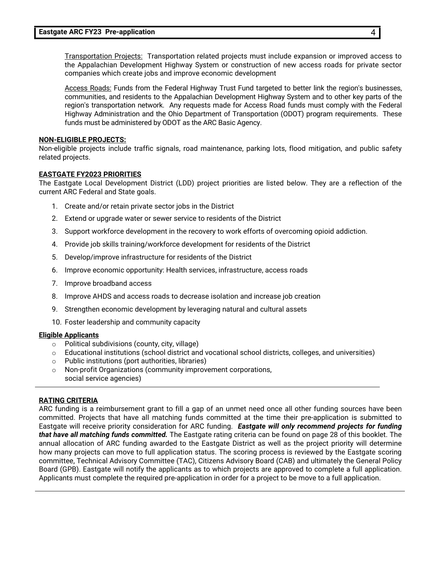Transportation Projects: Transportation related projects must include expansion or improved access to the Appalachian Development Highway System or construction of new access roads for private sector companies which create jobs and improve economic development

Access Roads: Funds from the Federal Highway Trust Fund targeted to better link the region's businesses, communities, and residents to the Appalachian Development Highway System and to other key parts of the region's transportation network. Any requests made for Access Road funds must comply with the Federal Highway Administration and the Ohio Department of Transportation (ODOT) program requirements. These funds must be administered by ODOT as the ARC Basic Agency.

#### **NON-ELIGIBLE PROJECTS:**

Non-eligible projects include traffic signals, road maintenance, parking lots, flood mitigation, and public safety related projects.

#### **EASTGATE FY2023 PRIORITIES**

The Eastgate Local Development District (LDD) project priorities are listed below. They are a reflection of the current ARC Federal and State goals.

- 1. Create and/or retain private sector jobs in the District
- 2. Extend or upgrade water or sewer service to residents of the District
- 3. Support workforce development in the recovery to work efforts of overcoming opioid addiction.
- 4. Provide job skills training/workforce development for residents of the District
- 5. Develop/improve infrastructure for residents of the District
- 6. Improve economic opportunity: Health services, infrastructure, access roads
- 7. Improve broadband access
- 8. Improve AHDS and access roads to decrease isolation and increase job creation
- 9. Strengthen economic development by leveraging natural and cultural assets
- 10. Foster leadership and community capacity

#### **Eligible Applicants**

- o Political subdivisions (county, city, village)
- o Educational institutions (school district and vocational school districts, colleges, and universities)
- o Public institutions (port authorities, libraries)
- o Non-profit Organizations (community improvement corporations, social service agencies)

#### **RATING CRITERIA**

ARC funding is a reimbursement grant to fill a gap of an unmet need once all other funding sources have been committed. Projects that have all matching funds committed at the time their pre-application is submitted to Eastgate will receive priority consideration for ARC funding. *Eastgate will only recommend projects for funding that have all matching funds committed.* The Eastgate rating criteria can be found on page 28 of this booklet. The annual allocation of ARC funding awarded to the Eastgate District as well as the project priority will determine how many projects can move to full application status. The scoring process is reviewed by the Eastgate scoring committee, Technical Advisory Committee (TAC), Citizens Advisory Board (CAB) and ultimately the General Policy Board (GPB). Eastgate will notify the applicants as to which projects are approved to complete a full application. Applicants must complete the required pre-application in order for a project to be move to a full application.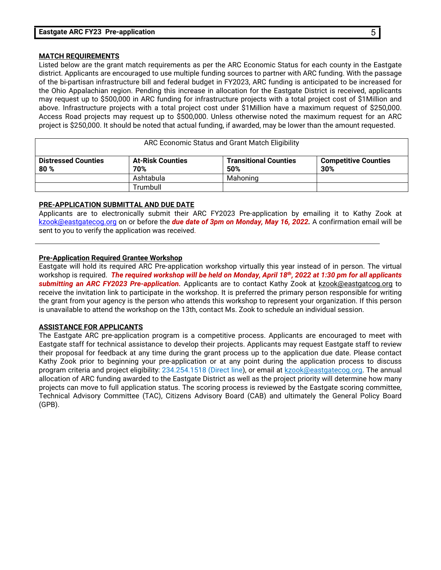#### **MATCH REQUIREMENTS**

Listed below are the grant match requirements as per the ARC Economic Status for each county in the Eastgate district. Applicants are encouraged to use multiple funding sources to partner with ARC funding. With the passage of the bi-partisan infrastructure bill and federal budget in FY2023, ARC funding is anticipated to be increased for the Ohio Appalachian region. Pending this increase in allocation for the Eastgate District is received, applicants may request up to \$500,000 in ARC funding for infrastructure projects with a total project cost of \$1Million and above. Infrastructure projects with a total project cost under \$1Million have a maximum request of \$250,000. Access Road projects may request up to \$500,000. Unless otherwise noted the maximum request for an ARC project is \$250,000. It should be noted that actual funding, if awarded, may be lower than the amount requested.

| ARC Economic Status and Grant Match Eligibility |                                |                                     |                                    |  |
|-------------------------------------------------|--------------------------------|-------------------------------------|------------------------------------|--|
| <b>Distressed Counties</b><br>80%               | <b>At-Risk Counties</b><br>70% | <b>Transitional Counties</b><br>50% | <b>Competitive Counties</b><br>30% |  |
|                                                 | Ashtabula                      | Mahoning                            |                                    |  |
|                                                 | Trumbull                       |                                     |                                    |  |

#### **PRE-APPLICATION SUBMITTAL AND DUE DATE**

Applicants are to electronically submit their ARC FY2023 Pre-application by emailing it to Kathy Zook at [kzook@eastgatecog.org](mailto:kzook@eastgatecog.org) on or before the *due date of 3pm on Monday, May 16, 2022.* A confirmation email will be sent to you to verify the application was received.

#### **Pre-Application Required Grantee Workshop**

Eastgate will hold its required ARC Pre-application workshop virtually this year instead of in person. The virtual workshop is required. *The required workshop will be held on Monday, April 18th, 2022 at 1:30 pm for all applicants submitting an ARC FY2023 Pre-application.* Applicants are to contact Kathy Zook at [kzook@eastgatcog.org](mailto:kzook@eastgatcog.org) to receive the invitation link to participate in the workshop. It is preferred the primary person responsible for writing the grant from your agency is the person who attends this workshop to represent your organization. If this person is unavailable to attend the workshop on the 13th, contact Ms. Zook to schedule an individual session.

#### **ASSISTANCE FOR APPLICANTS**

The Eastgate ARC pre-application program is a competitive process. Applicants are encouraged to meet with Eastgate staff for technical assistance to develop their projects. Applicants may request Eastgate staff to review their proposal for feedback at any time during the grant process up to the application due date. Please contact Kathy Zook prior to beginning your pre-application or at any point during the application process to discuss program criteria and project eligibility: 234.254.1518 (Direct line), or email at [kzook@eastgatecog.org.](mailto:kzook@eastgatecog.org) The annual allocation of ARC funding awarded to the Eastgate District as well as the project priority will determine how many projects can move to full application status. The scoring process is reviewed by the Eastgate scoring committee, Technical Advisory Committee (TAC), Citizens Advisory Board (CAB) and ultimately the General Policy Board (GPB).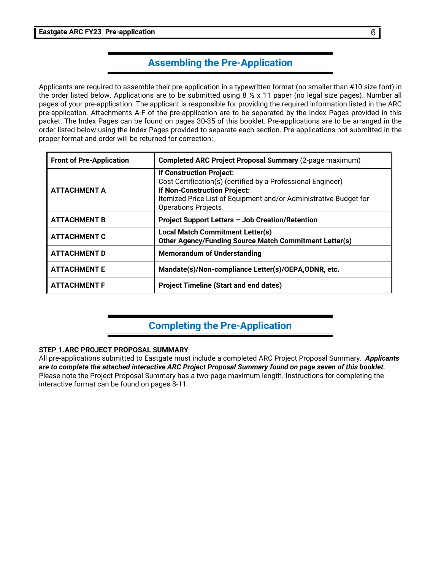#### **Assembling the Pre-Application**

Applicants are required to assemble their pre-application in a typewritten format (no smaller than #10 size font) in the order listed below. Applications are to be submitted using 8 ½ x 11 paper (no legal size pages). Number all pages of your pre-application. The applicant is responsible for providing the required information listed in the ARC pre-application. Attachments A-F of the pre-application are to be separated by the Index Pages provided in this packet. The Index Pages can be found on pages 30-35 of this booklet. Pre-applications are to be arranged in the order listed below using the Index Pages provided to separate each section. Pre-applications not submitted in the proper format and order will be returned for correction:

| <b>Front of Pre-Application</b> | <b>Completed ARC Project Proposal Summary (2-page maximum)</b>                                                                                                                                                                     |
|---------------------------------|------------------------------------------------------------------------------------------------------------------------------------------------------------------------------------------------------------------------------------|
| <b>ATTACHMENT A</b>             | If Construction Project:<br>Cost Certification(s) (certified by a Professional Engineer)<br><b>If Non-Construction Project:</b><br>Itemized Price List of Equipment and/or Administrative Budget for<br><b>Operations Projects</b> |
| <b>ATTACHMENT B</b>             | Project Support Letters - Job Creation/Retention                                                                                                                                                                                   |
| <b>ATTACHMENT C</b>             | <b>Local Match Commitment Letter(s)</b><br>Other Agency/Funding Source Match Commitment Letter(s)                                                                                                                                  |
| <b>ATTACHMENT D</b>             | <b>Memorandum of Understanding</b>                                                                                                                                                                                                 |
| <b>ATTACHMENT E</b>             | Mandate(s)/Non-compliance Letter(s)/OEPA,ODNR, etc.                                                                                                                                                                                |
| <b>ATTACHMENT F</b>             | <b>Project Timeline (Start and end dates)</b>                                                                                                                                                                                      |

### **Completing the Pre-Application**

#### **STEP 1.ARC PROJECT PROPOSAL SUMMARY**

All pre-applications submitted to Eastgate must include a completed ARC Project Proposal Summary. *Applicants are to complete the attached interactive ARC Project Proposal Summary found on page seven of this booklet.* Please note the Project Proposal Summary has a two-page maximum length. Instructions for completing the interactive format can be found on pages 8-11.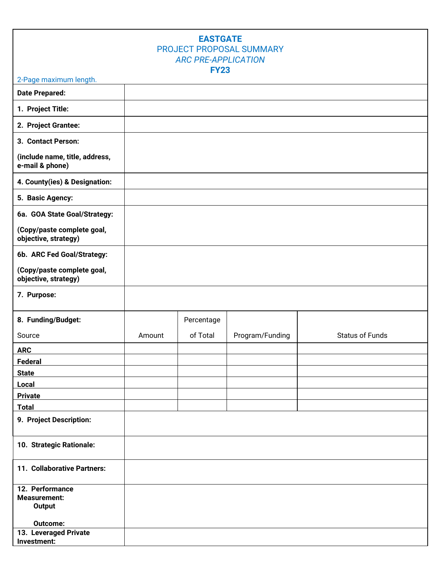#### **EASTGATE** PROJECT PROPOSAL SUMMARY *ARC PRE-APPLICATION* **FY23**

#### 2-Page maximum length.

| <b>Date Prepared:</b>                              |        |            |                 |                        |
|----------------------------------------------------|--------|------------|-----------------|------------------------|
| 1. Project Title:                                  |        |            |                 |                        |
| 2. Project Grantee:                                |        |            |                 |                        |
| 3. Contact Person:                                 |        |            |                 |                        |
| (include name, title, address,<br>e-mail & phone)  |        |            |                 |                        |
| 4. County(ies) & Designation:                      |        |            |                 |                        |
| 5. Basic Agency:                                   |        |            |                 |                        |
| 6a. GOA State Goal/Strategy:                       |        |            |                 |                        |
| (Copy/paste complete goal,<br>objective, strategy) |        |            |                 |                        |
| 6b. ARC Fed Goal/Strategy:                         |        |            |                 |                        |
| (Copy/paste complete goal,<br>objective, strategy) |        |            |                 |                        |
| 7. Purpose:                                        |        |            |                 |                        |
| 8. Funding/Budget:                                 |        | Percentage |                 |                        |
| Source                                             | Amount | of Total   | Program/Funding | <b>Status of Funds</b> |
| <b>ARC</b>                                         |        |            |                 |                        |
| Federal                                            |        |            |                 |                        |
| <b>State</b>                                       |        |            |                 |                        |
| Local                                              |        |            |                 |                        |
| <b>Private</b>                                     |        |            |                 |                        |
| <b>Total</b>                                       |        |            |                 |                        |
| 9. Project Description:                            |        |            |                 |                        |
| 10. Strategic Rationale:                           |        |            |                 |                        |
| 11. Collaborative Partners:                        |        |            |                 |                        |
| 12. Performance<br><b>Measurement:</b><br>Output   |        |            |                 |                        |
| Outcome:                                           |        |            |                 |                        |
| 13. Leveraged Private<br>Investment:               |        |            |                 |                        |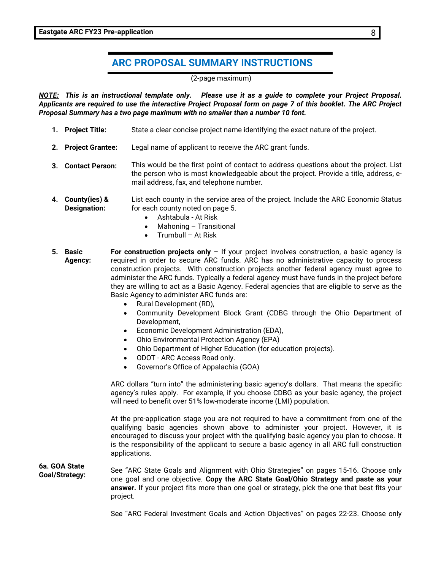#### **ARC PROPOSAL SUMMARY INSTRUCTIONS**

(2-page maximum)

*NOTE: This is an instructional template only. Please use it as a guide to complete your Project Proposal. Applicants are required to use the interactive Project Proposal form on page 7 of this booklet. The ARC Project Proposal Summary has a two page maximum with no smaller than a number 10 font.*

- **1. Project Title:** State a clear concise project name identifying the exact nature of the project.
- **2. Project Grantee:** Legal name of applicant to receive the ARC grant funds.
- **3. Contact Person:** This would be the first point of contact to address questions about the project. List the person who is most knowledgeable about the project. Provide a title, address, email address, fax, and telephone number.
- **4. County(ies) & Designation:** List each county in the service area of the project. Include the ARC Economic Status for each county noted on page 5.
	- Ashtabula At Risk
	- Mahoning Transitional
	- Trumbull At Risk
- **5. Basic Agency: For construction projects only** – If your project involves construction, a basic agency is required in order to secure ARC funds. ARC has no administrative capacity to process construction projects. With construction projects another federal agency must agree to administer the ARC funds. Typically a federal agency must have funds in the project before they are willing to act as a Basic Agency. Federal agencies that are eligible to serve as the Basic Agency to administer ARC funds are:
	- Rural Development (RD),
	- Community Development Block Grant (CDBG through the Ohio Department of Development,
	- Economic Development Administration (EDA),
	- Ohio Environmental Protection Agency (EPA)
	- Ohio Department of Higher Education (for education projects).
	- ODOT ARC Access Road only.
	- Governor's Office of Appalachia (GOA)

ARC dollars "turn into" the administering basic agency's dollars. That means the specific agency's rules apply. For example, if you choose CDBG as your basic agency, the project will need to benefit over 51% low-moderate income (LMI) population.

At the pre-application stage you are not required to have a commitment from one of the qualifying basic agencies shown above to administer your project. However, it is encouraged to discuss your project with the qualifying basic agency you plan to choose. It is the responsibility of the applicant to secure a basic agency in all ARC full construction applications.

**6a. GOA State Goal/Strategy:** See "ARC State Goals and Alignment with Ohio Strategies" on pages 15-16. Choose only one goal and one objective. **Copy the ARC State Goal/Ohio Strategy and paste as your answer.** If your project fits more than one goal or strategy, pick the one that best fits your project.

See "ARC Federal Investment Goals and Action Objectives" on pages 22-23. Choose only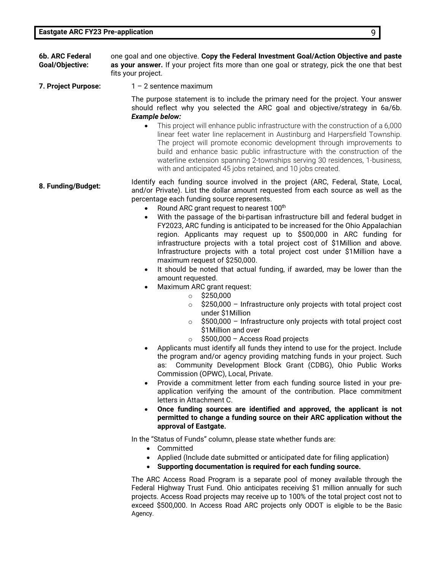- **6b. ARC Federal Goal/Objective:** one goal and one objective. **Copy the Federal Investment Goal/Action Objective and paste as your answer.** If your project fits more than one goal or strategy, pick the one that best fits your project.
- **7. Project Purpose:** 1 2 sentence maximum

The purpose statement is to include the primary need for the project. Your answer should reflect why you selected the ARC goal and objective/strategy in 6a/6b. *Example below:*

- This project will enhance public infrastructure with the construction of a 6,000 linear feet water line replacement in Austinburg and Harpersfield Township. The project will promote economic development through improvements to build and enhance basic public infrastructure with the construction of the waterline extension spanning 2-townships serving 30 residences, 1-business, with and anticipated 45 jobs retained, and 10 jobs created.
- **8. Funding/Budget:** Identify each funding source involved in the project (ARC, Federal, State, Local, 8. Funding) list the deliver argument of frame and counter as well as the and/or Private). List the dollar amount requested from each source as well as the percentage each funding source represents.
	- Round ARC grant request to nearest 100<sup>th</sup>
	- With the passage of the bi-partisan infrastructure bill and federal budget in FY2023, ARC funding is anticipated to be increased for the Ohio Appalachian region. Applicants may request up to \$500,000 in ARC funding for infrastructure projects with a total project cost of \$1Million and above. Infrastructure projects with a total project cost under \$1Million have a maximum request of \$250,000.
	- It should be noted that actual funding, if awarded, may be lower than the amount requested.
	- Maximum ARC grant request:
		- $\circ$  \$250,000
		- $\circ$  \$250,000 Infrastructure only projects with total project cost under \$1Million
		- $\circ$  \$500,000 Infrastructure only projects with total project cost \$1Million and over
		- $\circ$  \$500,000 Access Road projects
	- Applicants must identify all funds they intend to use for the project. Include the program and/or agency providing matching funds in your project. Such as: Community Development Block Grant (CDBG), Ohio Public Works Commission (OPWC), Local, Private.
	- Provide a commitment letter from each funding source listed in your preapplication verifying the amount of the contribution. Place commitment letters in Attachment C.
	- **Once funding sources are identified and approved, the applicant is not permitted to change a funding source on their ARC application without the approval of Eastgate.**

In the "Status of Funds" column, please state whether funds are:

- Committed
- Applied (Include date submitted or anticipated date for filing application)
- **Supporting documentation is required for each funding source.**

The ARC Access Road Program is a separate pool of money available through the Federal Highway Trust Fund. Ohio anticipates receiving \$1 million annually for such projects. Access Road projects may receive up to 100% of the total project cost not to exceed \$500,000. In Access Road ARC projects only ODOT is eligible to be the Basic Agency.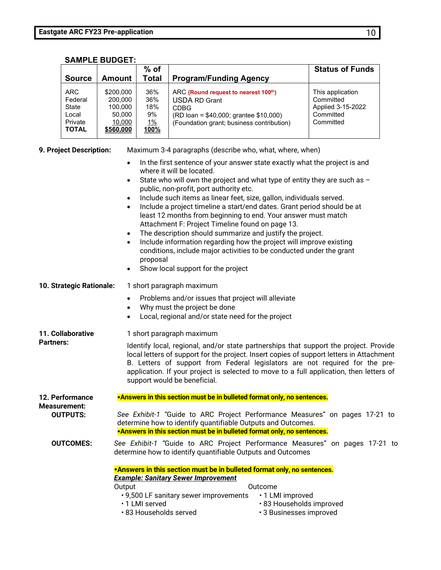| <b>SAMPLE BUDGET:</b> |  |  |
|-----------------------|--|--|
|-----------------------|--|--|

| <b>Source</b>                                                      | Amount                                                           | $%$ of<br>Total                                     | <b>Program/Funding Agency</b>                                                                                                                                      | <b>Status of Funds</b>                                                       |
|--------------------------------------------------------------------|------------------------------------------------------------------|-----------------------------------------------------|--------------------------------------------------------------------------------------------------------------------------------------------------------------------|------------------------------------------------------------------------------|
| <b>ARC</b><br>Federal<br>State<br>Local<br>Private<br><b>TOTAL</b> | \$200,000<br>200.000<br>100,000<br>50.000<br>10,000<br>\$560,000 | 36%<br>36%<br>18%<br>9%<br><u>1%</u><br><u>100%</u> | ARC (Round request to nearest 100th)<br><b>USDA RD Grant</b><br><b>CDBG</b><br>(RD loan = \$40,000; grantee \$10,000)<br>(Foundation grant; business contribution) | This application<br>Committed<br>Applied 3-15-2022<br>Committed<br>Committed |

| 9. Project Description:                | Maximum 3-4 paragraphs (describe who, what, where, when)                                                                                                                                                                                                                                                                                                                                                                                                                                                                                                                                                                                                                                                                                                                                                                                                           |
|----------------------------------------|--------------------------------------------------------------------------------------------------------------------------------------------------------------------------------------------------------------------------------------------------------------------------------------------------------------------------------------------------------------------------------------------------------------------------------------------------------------------------------------------------------------------------------------------------------------------------------------------------------------------------------------------------------------------------------------------------------------------------------------------------------------------------------------------------------------------------------------------------------------------|
|                                        | In the first sentence of your answer state exactly what the project is and<br>$\bullet$<br>where it will be located.<br>State who will own the project and what type of entity they are such as $-$<br>$\bullet$<br>public, non-profit, port authority etc.<br>Include such items as linear feet, size, gallon, individuals served.<br>$\bullet$<br>Include a project timeline a start/end dates. Grant period should be at<br>$\bullet$<br>least 12 months from beginning to end. Your answer must match<br>Attachment F: Project Timeline found on page 13.<br>The description should summarize and justify the project.<br>$\bullet$<br>Include information regarding how the project will improve existing<br>$\bullet$<br>conditions, include major activities to be conducted under the grant<br>proposal<br>Show local support for the project<br>$\bullet$ |
| 10. Strategic Rationale:               | 1 short paragraph maximum                                                                                                                                                                                                                                                                                                                                                                                                                                                                                                                                                                                                                                                                                                                                                                                                                                          |
|                                        | Problems and/or issues that project will alleviate<br>$\bullet$<br>Why must the project be done<br>٠<br>Local, regional and/or state need for the project                                                                                                                                                                                                                                                                                                                                                                                                                                                                                                                                                                                                                                                                                                          |
| 11. Collaborative<br><b>Partners:</b>  | 1 short paragraph maximum<br>Identify local, regional, and/or state partnerships that support the project. Provide<br>local letters of support for the project. Insert copies of support letters in Attachment<br>B. Letters of support from Federal legislators are not required for the pre-<br>application. If your project is selected to move to a full application, then letters of<br>support would be beneficial.                                                                                                                                                                                                                                                                                                                                                                                                                                          |
| 12. Performance                        | .Answers in this section must be in bulleted format only, no sentences.                                                                                                                                                                                                                                                                                                                                                                                                                                                                                                                                                                                                                                                                                                                                                                                            |
| <b>Measurement:</b><br><b>OUTPUTS:</b> | See Exhibit-1 "Guide to ARC Project Performance Measures" on pages 17-21 to<br>determine how to identify quantifiable Outputs and Outcomes.<br>. Answers in this section must be in bulleted format only, no sentences.                                                                                                                                                                                                                                                                                                                                                                                                                                                                                                                                                                                                                                            |
| <b>OUTCOMES:</b>                       | See Exhibit-1 "Guide to ARC Project Performance Measures" on pages 17-21 to<br>determine how to identify quantifiable Outputs and Outcomes                                                                                                                                                                                                                                                                                                                                                                                                                                                                                                                                                                                                                                                                                                                         |
|                                        | . Answers in this section must be in bulleted format only, no sentences.<br><b>Example: Sanitary Sewer Improvement</b><br>Output<br>Outcome<br>• 9,500 LF sanitary sewer improvements<br>•1 LMI improved<br>· 83 Households improved<br>· 1 LMI served<br>· 83 Households served<br>· 3 Businesses improved                                                                                                                                                                                                                                                                                                                                                                                                                                                                                                                                                        |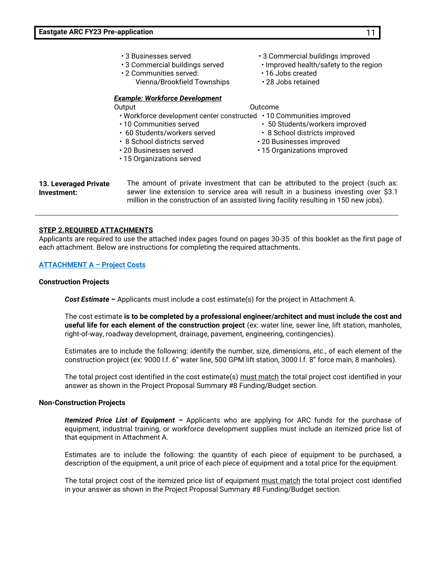- 3 Businesses served 3 Commercial buildings improved
- 3 Commercial buildings served Improved health/safety to the region
- 2 Communities served: 16 Jobs created Vienna/Brookfield Townships • 28 Jobs retained

#### *Example: Workforce Development*

### Output Contract Contract Contract Contract Contract Contract Contract Contract Contract Contract Contract Contract Contract Contract Contract Contract Contract Contract Contract Contract Contract Contract Contract Contract

- 
- Workforce development center constructed 10 Communities improved
	-
- 
- 
- 
- 15 Organizations served
- 
- 10 Communities served 50 Students/workers improved
- 60 Students/workers served 8 School districts improved
- 8 School districts served 20 Businesses improved
- 20 Businesses served 15 Organizations improved

**13. Leveraged Private Investment:** The amount of private investment that can be attributed to the project (such as: sewer line extension to service area will result in a business investing over \$3.1 million in the construction of an assisted living facility resulting in 150 new jobs).

#### **STEP 2.REQUIRED ATTACHMENTS**

Applicants are required to use the attached index pages found on pages 30-35 of this booklet as the first page of each attachment. Below are instructions for completing the required attachments.

#### **ATTACHMENT A – Project Costs**

#### **Construction Projects**

*Cost Estimate –* Applicants must include a cost estimate(s) for the project in Attachment A.

The cost estimate **is to be completed by a professional engineer/architect and must include the cost and useful life for each element of the construction project** (ex: water line, sewer line, lift station, manholes, right-of-way, roadway development, drainage, pavement, engineering, contingencies).

Estimates are to include the following: identify the number, size, dimensions, etc., of each element of the construction project (ex: 9000 l.f. 6" water line, 500 GPM lift station, 3000 l.f. 8" force main, 8 manholes).

The total project cost identified in the cost estimate(s) must match the total project cost identified in your answer as shown in the Project Proposal Summary #8 Funding/Budget section.

#### **Non-Construction Projects**

*Itemized Price List of Equipment –* Applicants who are applying for ARC funds for the purchase of equipment, industrial training, or workforce development supplies must include an itemized price list of that equipment in Attachment A.

Estimates are to include the following: the quantity of each piece of equipment to be purchased, a description of the equipment, a unit price of each piece of equipment and a total price for the equipment.

The total project cost of the itemized price list of equipment must match the total project cost identified in your answer as shown in the Project Proposal Summary #8 Funding/Budget section.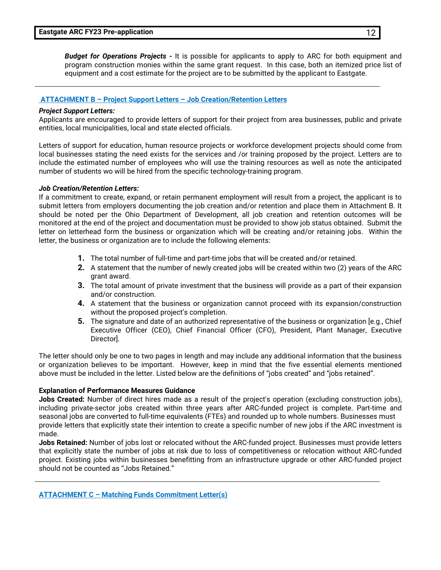*Budget for Operations Projects -* It is possible for applicants to apply to ARC for both equipment and program construction monies within the same grant request. In this case, both an itemized price list of equipment and a cost estimate for the project are to be submitted by the applicant to Eastgate.

#### **ATTACHMENT B – Project Support Letters – Job Creation/Retention Letters**

#### *Project Support Letters:*

Applicants are encouraged to provide letters of support for their project from area businesses, public and private entities, local municipalities, local and state elected officials.

Letters of support for education, human resource projects or workforce development projects should come from local businesses stating the need exists for the services and /or training proposed by the project. Letters are to include the estimated number of employees who will use the training resources as well as note the anticipated number of students wo will be hired from the specific technology-training program.

#### *Job Creation/Retention Letters:*

If a commitment to create, expand, or retain permanent employment will result from a project, the applicant is to submit letters from employers documenting the job creation and/or retention and place them in Attachment B. It should be noted per the Ohio Department of Development, all job creation and retention outcomes will be monitored at the end of the project and documentation must be provided to show job status obtained. Submit the letter on letterhead form the business or organization which will be creating and/or retaining jobs. Within the letter, the business or organization are to include the following elements:

- **1.** The total number of full-time and part-time jobs that will be created and/or retained.
- **2.** A statement that the number of newly created jobs will be created within two (2) years of the ARC grant award.
- **3.** The total amount of private investment that the business will provide as a part of their expansion and/or construction.
- **4.** A statement that the business or organization cannot proceed with its expansion/construction without the proposed project's completion.
- **5.** The signature and date of an authorized representative of the business or organization [e.g., Chief Executive Officer (CEO), Chief Financial Officer (CFO), President, Plant Manager, Executive Director].

The letter should only be one to two pages in length and may include any additional information that the business or organization believes to be important. However, keep in mind that the five essential elements mentioned above must be included in the letter. Listed below are the definitions of "jobs created" and "jobs retained".

#### **Explanation of Performance Measures Guidance**

**Jobs Created:** Number of direct hires made as a result of the project's operation (excluding construction jobs), including private-sector jobs created within three years after ARC-funded project is complete. Part-time and seasonal jobs are converted to full-time equivalents (FTEs) and rounded up to whole numbers. Businesses must provide letters that explicitly state their intention to create a specific number of new jobs if the ARC investment is made.

**Jobs Retained:** Number of jobs lost or relocated without the ARC-funded project. Businesses must provide letters that explicitly state the number of jobs at risk due to loss of competitiveness or relocation without ARC-funded project. Existing jobs within businesses benefitting from an infrastructure upgrade or other ARC-funded project should not be counted as "Jobs Retained."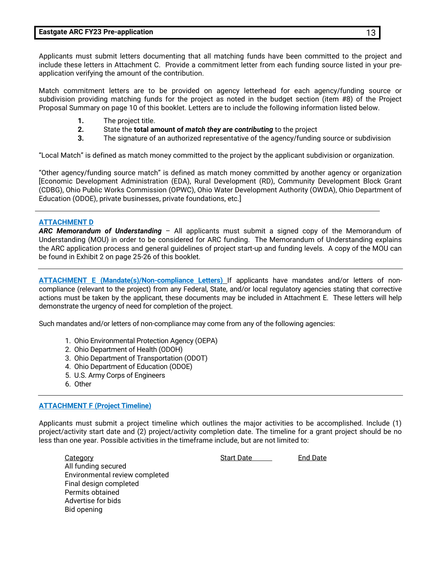Applicants must submit letters documenting that all matching funds have been committed to the project and include these letters in Attachment C. Provide a commitment letter from each funding source listed in your preapplication verifying the amount of the contribution.

Match commitment letters are to be provided on agency letterhead for each agency/funding source or subdivision providing matching funds for the project as noted in the budget section (item #8) of the Project Proposal Summary on page 10 of this booklet. Letters are to include the following information listed below.

- **1.** The project title.
- **2.** State the **total amount of** *match they are contributing* to the project
- **3.** The signature of an authorized representative of the agency/funding source or subdivision

"Local Match" is defined as match money committed to the project by the applicant subdivision or organization.

"Other agency/funding source match" is defined as match money committed by another agency or organization [Economic Development Administration (EDA), Rural Development (RD), Community Development Block Grant (CDBG), Ohio Public Works Commission (OPWC), Ohio Water Development Authority (OWDA), Ohio Department of Education (ODOE), private businesses, private foundations, etc.]

#### **ATTACHMENT D**

*ARC Memorandum of Understanding* – All applicants must submit a signed copy of the Memorandum of Understanding (MOU) in order to be considered for ARC funding. The Memorandum of Understanding explains the ARC application process and general guidelines of project start-up and funding levels. A copy of the MOU can be found in Exhibit 2 on page 25-26 of this booklet.

**ATTACHMENT E (Mandate(s)/Non-compliance Letters)** If applicants have mandates and/or letters of noncompliance (relevant to the project) from any Federal, State, and/or local regulatory agencies stating that corrective actions must be taken by the applicant, these documents may be included in Attachment E. These letters will help demonstrate the urgency of need for completion of the project.

Such mandates and/or letters of non-compliance may come from any of the following agencies:

- 1. Ohio Environmental Protection Agency (OEPA)
- 2. Ohio Department of Health (ODOH)
- 3. Ohio Department of Transportation (ODOT)
- 4. Ohio Department of Education (ODOE)
- 5. U.S. Army Corps of Engineers
- 6. Other

#### **ATTACHMENT F (Project Timeline)**

Applicants must submit a project timeline which outlines the major activities to be accomplished. Include (1) project/activity start date and (2) project/activity completion date. The timeline for a grant project should be no less than one year. Possible activities in the timeframe include, but are not limited to:

**Category Category Category** Start Date **End Date** All funding secured Environmental review completed Final design completed Permits obtained Advertise for bids Bid opening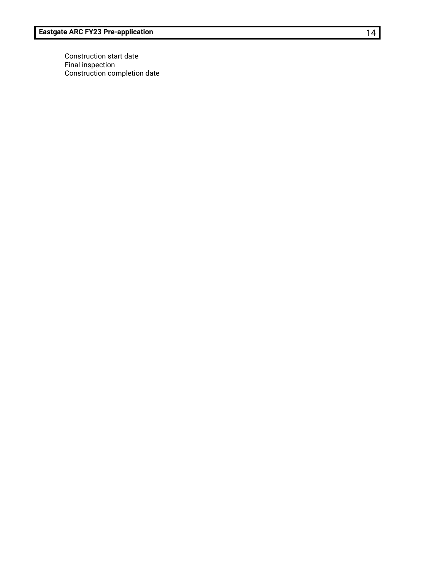Construction start date Final inspection Construction completion date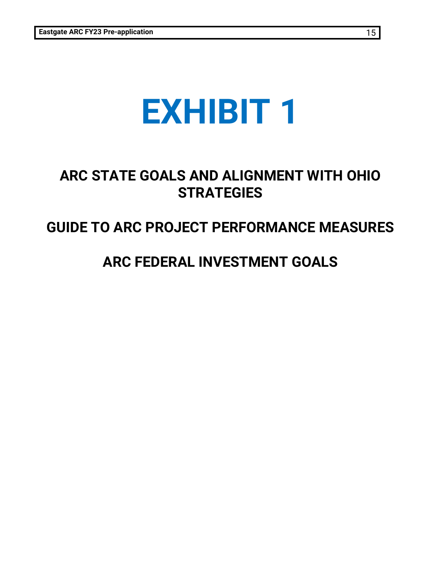# **EXHIBIT 1**

## **ARC STATE GOALS AND ALIGNMENT WITH OHIO STRATEGIES**

### **GUIDE TO ARC PROJECT PERFORMANCE MEASURES**

### **ARC FEDERAL INVESTMENT GOALS**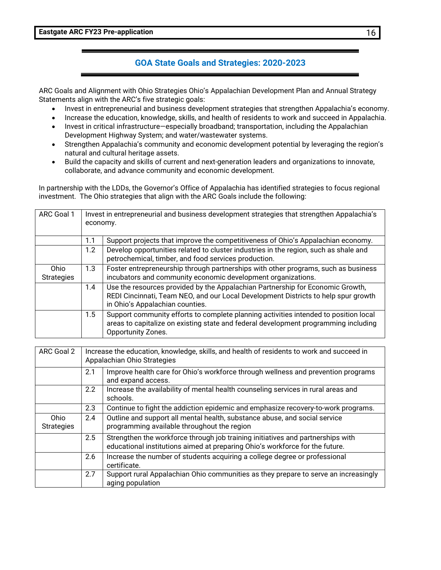#### **GOA State Goals and Strategies: 2020-2023**

ARC Goals and Alignment with Ohio Strategies Ohio's Appalachian Development Plan and Annual Strategy Statements align with the ARC's five strategic goals:

- Invest in entrepreneurial and business development strategies that strengthen Appalachia's economy.
- Increase the education, knowledge, skills, and health of residents to work and succeed in Appalachia.
- Invest in critical infrastructure—especially broadband; transportation, including the Appalachian Development Highway System; and water/wastewater systems.
- Strengthen Appalachia's community and economic development potential by leveraging the region's natural and cultural heritage assets.
- Build the capacity and skills of current and next-generation leaders and organizations to innovate, collaborate, and advance community and economic development.

In partnership with the LDDs, the Governor's Office of Appalachia has identified strategies to focus regional investment. The Ohio strategies that align with the ARC Goals include the following:

| ARC Goal 1                |     | Invest in entrepreneurial and business development strategies that strengthen Appalachia's<br>economy.                                                                                                  |  |  |  |
|---------------------------|-----|---------------------------------------------------------------------------------------------------------------------------------------------------------------------------------------------------------|--|--|--|
|                           | 1.1 | Support projects that improve the competitiveness of Ohio's Appalachian economy.                                                                                                                        |  |  |  |
|                           | 1.2 | Develop opportunities related to cluster industries in the region, such as shale and<br>petrochemical, timber, and food services production.                                                            |  |  |  |
| Ohio<br><b>Strategies</b> | 1.3 | Foster entrepreneurship through partnerships with other programs, such as business<br>incubators and community economic development organizations.                                                      |  |  |  |
|                           | 1.4 | Use the resources provided by the Appalachian Partnership for Economic Growth,<br>REDI Cincinnati, Team NEO, and our Local Development Districts to help spur growth<br>in Ohio's Appalachian counties. |  |  |  |
|                           | 1.5 | Support community efforts to complete planning activities intended to position local<br>areas to capitalize on existing state and federal development programming including<br>Opportunity Zones.       |  |  |  |

| ARC Goal 2                |               | Increase the education, knowledge, skills, and health of residents to work and succeed in<br>Appalachian Ohio Strategies                                        |  |  |  |
|---------------------------|---------------|-----------------------------------------------------------------------------------------------------------------------------------------------------------------|--|--|--|
|                           | 2.1           | Improve health care for Ohio's workforce through wellness and prevention programs<br>and expand access.                                                         |  |  |  |
|                           | $2.2^{\circ}$ | Increase the availability of mental health counseling services in rural areas and<br>schools.                                                                   |  |  |  |
|                           | 2.3           | Continue to fight the addiction epidemic and emphasize recovery-to-work programs.                                                                               |  |  |  |
| Ohio<br><b>Strategies</b> | 2.4           | Outline and support all mental health, substance abuse, and social service<br>programming available throughout the region                                       |  |  |  |
|                           | 2.5           | Strengthen the workforce through job training initiatives and partnerships with<br>educational institutions aimed at preparing Ohio's workforce for the future. |  |  |  |
|                           | 2.6           | Increase the number of students acquiring a college degree or professional<br>certificate.                                                                      |  |  |  |
|                           | 2.7           | Support rural Appalachian Ohio communities as they prepare to serve an increasingly<br>aging population                                                         |  |  |  |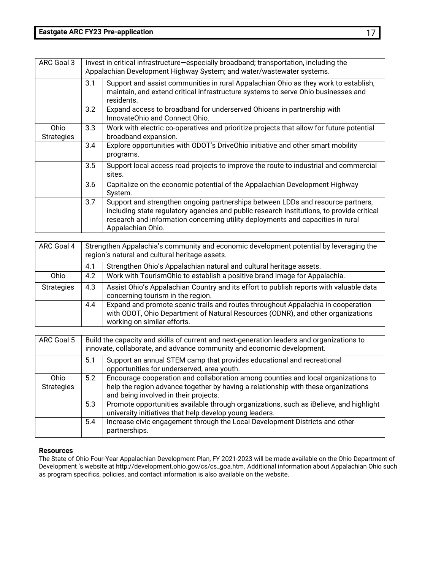| ARC Goal 3                |     | Invest in critical infrastructure-especially broadband; transportation, including the<br>Appalachian Development Highway System; and water/wastewater systems.                                                                                                                       |  |  |
|---------------------------|-----|--------------------------------------------------------------------------------------------------------------------------------------------------------------------------------------------------------------------------------------------------------------------------------------|--|--|
|                           | 3.1 | Support and assist communities in rural Appalachian Ohio as they work to establish,<br>maintain, and extend critical infrastructure systems to serve Ohio businesses and<br>residents.                                                                                               |  |  |
|                           | 3.2 | Expand access to broadband for underserved Ohioans in partnership with<br>InnovateOhio and Connect Ohio.                                                                                                                                                                             |  |  |
| Ohio<br><b>Strategies</b> | 3.3 | Work with electric co-operatives and prioritize projects that allow for future potential<br>broadband expansion.                                                                                                                                                                     |  |  |
|                           | 3.4 | Explore opportunities with ODOT's DriveOhio initiative and other smart mobility<br>programs.                                                                                                                                                                                         |  |  |
|                           | 3.5 | Support local access road projects to improve the route to industrial and commercial<br>sites.                                                                                                                                                                                       |  |  |
|                           | 3.6 | Capitalize on the economic potential of the Appalachian Development Highway<br>System.                                                                                                                                                                                               |  |  |
|                           | 3.7 | Support and strengthen ongoing partnerships between LDDs and resource partners,<br>including state regulatory agencies and public research institutions, to provide critical<br>research and information concerning utility deployments and capacities in rural<br>Appalachian Ohio. |  |  |

| ARC Goal 4        | Strengthen Appalachia's community and economic development potential by leveraging the<br>region's natural and cultural heritage assets. |                                                                                                                                                                                                    |  |
|-------------------|------------------------------------------------------------------------------------------------------------------------------------------|----------------------------------------------------------------------------------------------------------------------------------------------------------------------------------------------------|--|
|                   | Strengthen Ohio's Appalachian natural and cultural heritage assets.<br>4.1                                                               |                                                                                                                                                                                                    |  |
| Ohio              | 4.2                                                                                                                                      | Work with TourismOhio to establish a positive brand image for Appalachia.                                                                                                                          |  |
| <b>Strategies</b> | 4.3                                                                                                                                      | Assist Ohio's Appalachian Country and its effort to publish reports with valuable data<br>concerning tourism in the region.                                                                        |  |
|                   | 4.4                                                                                                                                      | Expand and promote scenic trails and routes throughout Appalachia in cooperation<br>with ODOT, Ohio Department of Natural Resources (ODNR), and other organizations<br>working on similar efforts. |  |

| ARC Goal 5                |     | Build the capacity and skills of current and next-generation leaders and organizations to<br>innovate, collaborate, and advance community and economic development.                                              |  |  |
|---------------------------|-----|------------------------------------------------------------------------------------------------------------------------------------------------------------------------------------------------------------------|--|--|
|                           | 5.1 | Support an annual STEM camp that provides educational and recreational<br>opportunities for underserved, area youth.                                                                                             |  |  |
| Ohio<br><b>Strategies</b> | 5.2 | Encourage cooperation and collaboration among counties and local organizations to<br>help the region advance together by having a relationship with these organizations<br>and being involved in their projects. |  |  |
|                           | 5.3 | Promote opportunities available through organizations, such as iBelieve, and highlight<br>university initiatives that help develop young leaders.                                                                |  |  |
|                           | 5.4 | Increase civic engagement through the Local Development Districts and other<br>partnerships.                                                                                                                     |  |  |

#### **Resources**

The State of Ohio Four-Year Appalachian Development Plan, FY 2021-2023 will be made available on the Ohio Department of Development 's website at http://development.ohio.gov/cs/cs\_goa.htm. Additional information about Appalachian Ohio such as program specifics, policies, and contact information is also available on the website.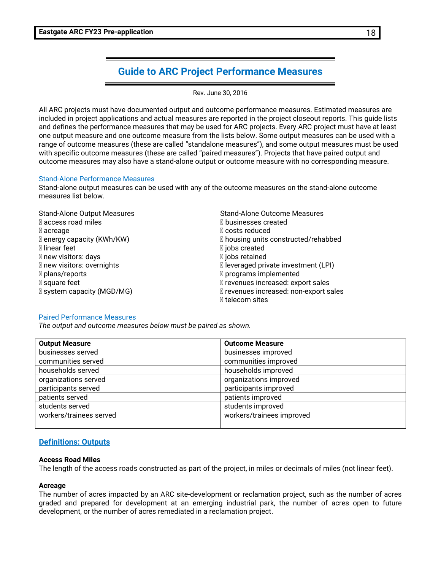#### **Guide to ARC Project Performance Measures**

Rev. June 30, 2016

All ARC projects must have documented output and outcome performance measures. Estimated measures are included in project applications and actual measures are reported in the project closeout reports. This guide lists and defines the performance measures that may be used for ARC projects. Every ARC project must have at least one output measure and one outcome measure from the lists below. Some output measures can be used with a range of outcome measures (these are called "standalone measures"), and some output measures must be used with specific outcome measures (these are called "paired measures"). Projects that have paired output and outcome measures may also have a stand-alone output or outcome measure with no corresponding measure.

#### Stand-Alone Performance Measures

Stand-alone output measures can be used with any of the outcome measures on the stand-alone outcome measures list below.

| <b>Stand-Alone Output Measures</b> | <b>Stand-Alone Outcome Measures</b>    |
|------------------------------------|----------------------------------------|
| ⊠ access road miles                | ⊠ businesses created                   |
| ⊠ acreage                          | ⊠ costs reduced                        |
| ⊠ energy capacity (KWh/KW)         | ⊠ housing units constructed/rehabbed   |
| ⊠ linear feet                      | ⊠ jobs created                         |
| ⊠ new visitors: days               | ⊠ jobs retained                        |
| ⊠ new visitors: overnights         | ⊠ leveraged private investment (LPI)   |
| ⊠ plans/reports                    | ⊠ programs implemented                 |
| ⊠ square feet                      | ⊠ revenues increased: export sales     |
| ⊠ system capacity (MGD/MG)         | ⊠ revenues increased: non-export sales |
|                                    | ⊠ telecom sites                        |

#### Paired Performance Measures

*The output and outcome measures below must be paired as shown.* 

| <b>Output Measure</b>   | <b>Outcome Measure</b>    |
|-------------------------|---------------------------|
| businesses served       | businesses improved       |
| communities served      | communities improved      |
| households served       | households improved       |
| organizations served    | organizations improved    |
| participants served     | participants improved     |
| patients served         | patients improved         |
| students served         | students improved         |
| workers/trainees served | workers/trainees improved |
|                         |                           |

#### **Definitions: Outputs**

#### **Access Road Miles**

The length of the access roads constructed as part of the project, in miles or decimals of miles (not linear feet).

#### **Acreage**

The number of acres impacted by an ARC site-development or reclamation project, such as the number of acres graded and prepared for development at an emerging industrial park, the number of acres open to future development, or the number of acres remediated in a reclamation project.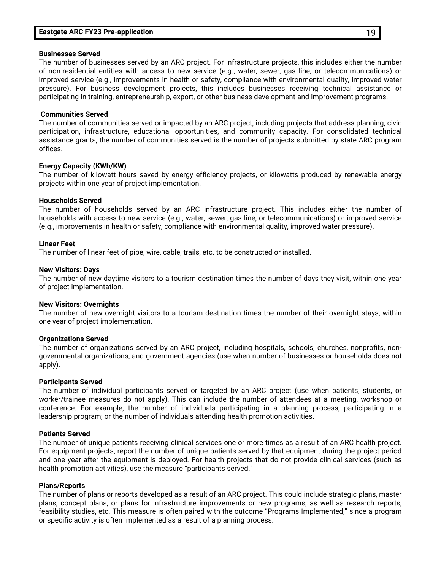#### **Eastgate ARC FY23 Pre-application** 19

#### **Businesses Served**

The number of businesses served by an ARC project. For infrastructure projects, this includes either the number of non-residential entities with access to new service (e.g., water, sewer, gas line, or telecommunications) or improved service (e.g., improvements in health or safety, compliance with environmental quality, improved water pressure). For business development projects, this includes businesses receiving technical assistance or participating in training, entrepreneurship, export, or other business development and improvement programs.

#### **Communities Served**

The number of communities served or impacted by an ARC project, including projects that address planning, civic participation, infrastructure, educational opportunities, and community capacity. For consolidated technical assistance grants, the number of communities served is the number of projects submitted by state ARC program offices.

#### **Energy Capacity (KWh/KW)**

The number of kilowatt hours saved by energy efficiency projects, or kilowatts produced by renewable energy projects within one year of project implementation.

#### **Households Served**

The number of households served by an ARC infrastructure project. This includes either the number of households with access to new service (e.g., water, sewer, gas line, or telecommunications) or improved service (e.g., improvements in health or safety, compliance with environmental quality, improved water pressure).

#### **Linear Feet**

The number of linear feet of pipe, wire, cable, trails, etc. to be constructed or installed.

#### **New Visitors: Days**

The number of new daytime visitors to a tourism destination times the number of days they visit, within one year of project implementation.

#### **New Visitors: Overnights**

The number of new overnight visitors to a tourism destination times the number of their overnight stays, within one year of project implementation.

#### **Organizations Served**

The number of organizations served by an ARC project, including hospitals, schools, churches, nonprofits, nongovernmental organizations, and government agencies (use when number of businesses or households does not apply).

#### **Participants Served**

The number of individual participants served or targeted by an ARC project (use when patients, students, or worker/trainee measures do not apply). This can include the number of attendees at a meeting, workshop or conference. For example, the number of individuals participating in a planning process; participating in a leadership program; or the number of individuals attending health promotion activities.

#### **Patients Served**

The number of unique patients receiving clinical services one or more times as a result of an ARC health project. For equipment projects, report the number of unique patients served by that equipment during the project period and one year after the equipment is deployed. For health projects that do not provide clinical services (such as health promotion activities), use the measure "participants served."

#### **Plans/Reports**

The number of plans or reports developed as a result of an ARC project. This could include strategic plans, master plans, concept plans, or plans for infrastructure improvements or new programs, as well as research reports, feasibility studies, etc. This measure is often paired with the outcome "Programs Implemented," since a program or specific activity is often implemented as a result of a planning process.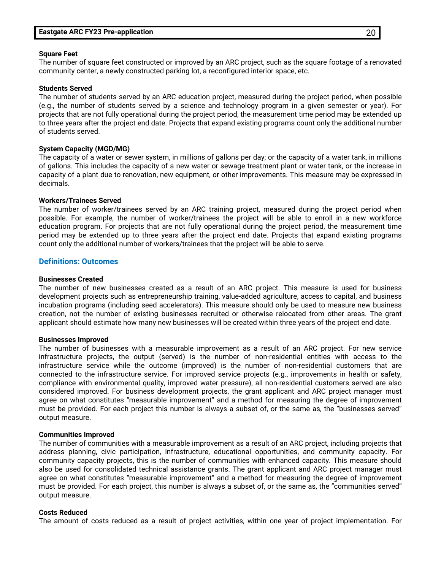#### **Square Feet**

The number of square feet constructed or improved by an ARC project, such as the square footage of a renovated community center, a newly constructed parking lot, a reconfigured interior space, etc.

#### **Students Served**

The number of students served by an ARC education project, measured during the project period, when possible (e.g., the number of students served by a science and technology program in a given semester or year). For projects that are not fully operational during the project period, the measurement time period may be extended up to three years after the project end date. Projects that expand existing programs count only the additional number of students served.

#### **System Capacity (MGD/MG)**

The capacity of a water or sewer system, in millions of gallons per day; or the capacity of a water tank, in millions of gallons. This includes the capacity of a new water or sewage treatment plant or water tank, or the increase in capacity of a plant due to renovation, new equipment, or other improvements. This measure may be expressed in decimals.

#### **Workers/Trainees Served**

The number of worker/trainees served by an ARC training project, measured during the project period when possible. For example, the number of worker/trainees the project will be able to enroll in a new workforce education program. For projects that are not fully operational during the project period, the measurement time period may be extended up to three years after the project end date. Projects that expand existing programs count only the additional number of workers/trainees that the project will be able to serve.

#### **Definitions: Outcomes**

#### **Businesses Created**

The number of new businesses created as a result of an ARC project. This measure is used for business development projects such as entrepreneurship training, value-added agriculture, access to capital, and business incubation programs (including seed accelerators). This measure should only be used to measure new business creation, not the number of existing businesses recruited or otherwise relocated from other areas. The grant applicant should estimate how many new businesses will be created within three years of the project end date.

#### **Businesses Improved**

The number of businesses with a measurable improvement as a result of an ARC project. For new service infrastructure projects, the output (served) is the number of non-residential entities with access to the infrastructure service while the outcome (improved) is the number of non-residential customers that are connected to the infrastructure service. For improved service projects (e.g., improvements in health or safety, compliance with environmental quality, improved water pressure), all non-residential customers served are also considered improved. For business development projects, the grant applicant and ARC project manager must agree on what constitutes "measurable improvement" and a method for measuring the degree of improvement must be provided. For each project this number is always a subset of, or the same as, the "businesses served" output measure.

#### **Communities Improved**

The number of communities with a measurable improvement as a result of an ARC project, including projects that address planning, civic participation, infrastructure, educational opportunities, and community capacity. For community capacity projects, this is the number of communities with enhanced capacity. This measure should also be used for consolidated technical assistance grants. The grant applicant and ARC project manager must agree on what constitutes "measurable improvement" and a method for measuring the degree of improvement must be provided. For each project, this number is always a subset of, or the same as, the "communities served" output measure.

#### **Costs Reduced**

The amount of costs reduced as a result of project activities, within one year of project implementation. For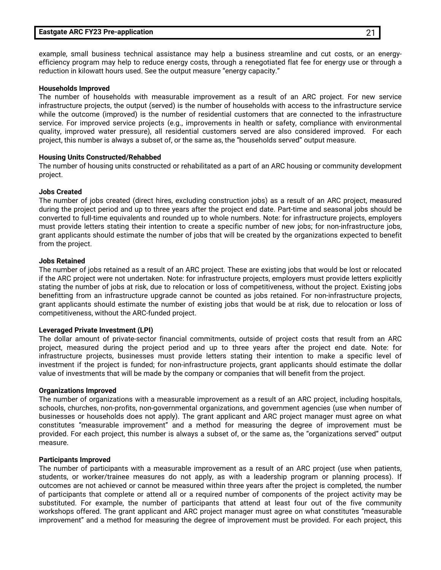#### **Eastgate ARC FY23 Pre-application** 21

example, small business technical assistance may help a business streamline and cut costs, or an energyefficiency program may help to reduce energy costs, through a renegotiated flat fee for energy use or through a reduction in kilowatt hours used. See the output measure "energy capacity."

#### **Households Improved**

The number of households with measurable improvement as a result of an ARC project. For new service infrastructure projects, the output (served) is the number of households with access to the infrastructure service while the outcome (improved) is the number of residential customers that are connected to the infrastructure service. For improved service projects (e.g., improvements in health or safety, compliance with environmental quality, improved water pressure), all residential customers served are also considered improved. For each project, this number is always a subset of, or the same as, the "households served" output measure.

#### **Housing Units Constructed/Rehabbed**

The number of housing units constructed or rehabilitated as a part of an ARC housing or community development project.

#### **Jobs Created**

The number of jobs created (direct hires, excluding construction jobs) as a result of an ARC project, measured during the project period and up to three years after the project end date. Part-time and seasonal jobs should be converted to full-time equivalents and rounded up to whole numbers. Note: for infrastructure projects, employers must provide letters stating their intention to create a specific number of new jobs; for non-infrastructure jobs, grant applicants should estimate the number of jobs that will be created by the organizations expected to benefit from the project.

#### **Jobs Retained**

The number of jobs retained as a result of an ARC project. These are existing jobs that would be lost or relocated if the ARC project were not undertaken. Note: for infrastructure projects, employers must provide letters explicitly stating the number of jobs at risk, due to relocation or loss of competitiveness, without the project. Existing jobs benefitting from an infrastructure upgrade cannot be counted as jobs retained. For non-infrastructure projects, grant applicants should estimate the number of existing jobs that would be at risk, due to relocation or loss of competitiveness, without the ARC-funded project.

#### **Leveraged Private Investment (LPI)**

The dollar amount of private-sector financial commitments, outside of project costs that result from an ARC project, measured during the project period and up to three years after the project end date. Note: for infrastructure projects, businesses must provide letters stating their intention to make a specific level of investment if the project is funded; for non-infrastructure projects, grant applicants should estimate the dollar value of investments that will be made by the company or companies that will benefit from the project.

#### **Organizations Improved**

The number of organizations with a measurable improvement as a result of an ARC project, including hospitals, schools, churches, non-profits, non-governmental organizations, and government agencies (use when number of businesses or households does not apply). The grant applicant and ARC project manager must agree on what constitutes "measurable improvement" and a method for measuring the degree of improvement must be provided. For each project, this number is always a subset of, or the same as, the "organizations served" output measure.

#### **Participants Improved**

The number of participants with a measurable improvement as a result of an ARC project (use when patients, students, or worker/trainee measures do not apply, as with a leadership program or planning process). If outcomes are not achieved or cannot be measured within three years after the project is completed, the number of participants that complete or attend all or a required number of components of the project activity may be substituted. For example, the number of participants that attend at least four out of the five community workshops offered. The grant applicant and ARC project manager must agree on what constitutes "measurable improvement" and a method for measuring the degree of improvement must be provided. For each project, this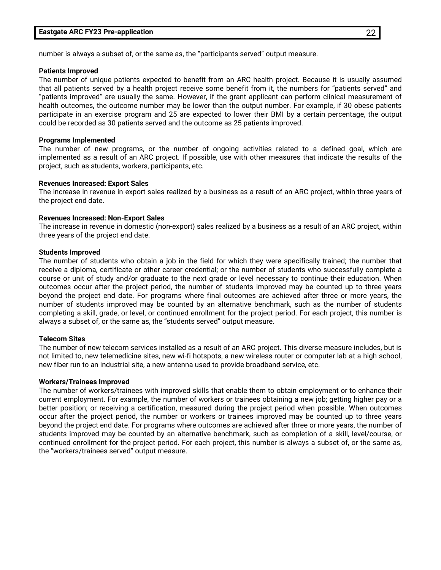number is always a subset of, or the same as, the "participants served" output measure.

#### **Patients Improved**

The number of unique patients expected to benefit from an ARC health project. Because it is usually assumed that all patients served by a health project receive some benefit from it, the numbers for "patients served" and "patients improved" are usually the same. However, if the grant applicant can perform clinical measurement of health outcomes, the outcome number may be lower than the output number. For example, if 30 obese patients participate in an exercise program and 25 are expected to lower their BMI by a certain percentage, the output could be recorded as 30 patients served and the outcome as 25 patients improved.

#### **Programs Implemented**

The number of new programs, or the number of ongoing activities related to a defined goal, which are implemented as a result of an ARC project. If possible, use with other measures that indicate the results of the project, such as students, workers, participants, etc.

#### **Revenues Increased: Export Sales**

The increase in revenue in export sales realized by a business as a result of an ARC project, within three years of the project end date.

#### **Revenues Increased: Non-Export Sales**

The increase in revenue in domestic (non-export) sales realized by a business as a result of an ARC project, within three years of the project end date.

#### **Students Improved**

The number of students who obtain a job in the field for which they were specifically trained; the number that receive a diploma, certificate or other career credential; or the number of students who successfully complete a course or unit of study and/or graduate to the next grade or level necessary to continue their education. When outcomes occur after the project period, the number of students improved may be counted up to three years beyond the project end date. For programs where final outcomes are achieved after three or more years, the number of students improved may be counted by an alternative benchmark, such as the number of students completing a skill, grade, or level, or continued enrollment for the project period. For each project, this number is always a subset of, or the same as, the "students served" output measure.

#### **Telecom Sites**

The number of new telecom services installed as a result of an ARC project. This diverse measure includes, but is not limited to, new telemedicine sites, new wi-fi hotspots, a new wireless router or computer lab at a high school, new fiber run to an industrial site, a new antenna used to provide broadband service, etc.

#### **Workers/Trainees Improved**

The number of workers/trainees with improved skills that enable them to obtain employment or to enhance their current employment. For example, the number of workers or trainees obtaining a new job; getting higher pay or a better position; or receiving a certification, measured during the project period when possible. When outcomes occur after the project period, the number or workers or trainees improved may be counted up to three years beyond the project end date. For programs where outcomes are achieved after three or more years, the number of students improved may be counted by an alternative benchmark, such as completion of a skill, level/course, or continued enrollment for the project period. For each project, this number is always a subset of, or the same as, the "workers/trainees served" output measure.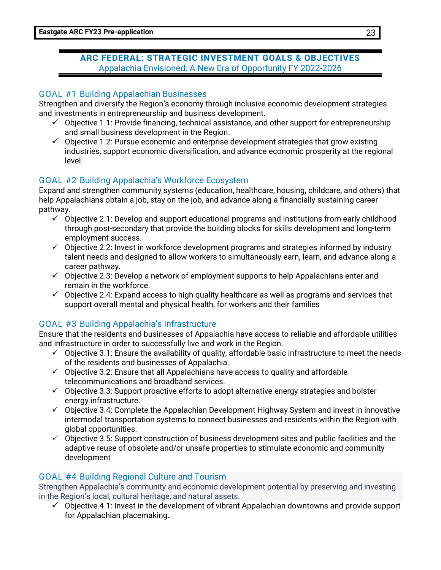#### **ARC FEDERAL: STRATEGIC INVESTMENT GOALS & OBJECTIVES** Appalachia Envisioned: A New Era of Opportunity FY 2022-2026

#### GOAL #1 Building Appalachian Businesses

Strengthen and diversify the Region's economy through inclusive economic development strategies and investments in entrepreneurship and business development.

- $\checkmark$  Objective 1.1: Provide financing, technical assistance, and other support for entrepreneurship and small business development in the Region.
- $\checkmark$  Objective 1.2: Pursue economic and enterprise development strategies that grow existing industries, support economic diversification, and advance economic prosperity at the regional level.

#### GOAL #2 Building Appalachia's Workforce Ecosystem

Expand and strengthen community systems (education, healthcare, housing, childcare, and others) that help Appalachians obtain a job, stay on the job, and advance along a financially sustaining career pathway.

- $\check{\phantom{\phi}}$  Objective 2.1: Develop and support educational programs and institutions from early childhood through post-secondary that provide the building blocks for skills development and long-term employment success.
- $\checkmark$  Objective 2.2: Invest in workforce development programs and strategies informed by industry talent needs and designed to allow workers to simultaneously earn, learn, and advance along a career pathway.
- $\checkmark$  Objective 2.3: Develop a network of employment supports to help Appalachians enter and remain in the workforce.
- $\checkmark$  Objective 2.4: Expand access to high quality healthcare as well as programs and services that support overall mental and physical health, for workers and their families

#### GOAL #3 Building Appalachia's Infrastructure

Ensure that the residents and businesses of Appalachia have access to reliable and affordable utilities and infrastructure in order to successfully live and work in the Region.

- $\check{\phantom{\phi}}$  Objective 3.1: Ensure the availability of quality, affordable basic infrastructure to meet the needs of the residents and businesses of Appalachia.
- $\checkmark$  Objective 3.2: Ensure that all Appalachians have access to quality and affordable telecommunications and broadband services.
- $\checkmark$  Objective 3.3: Support proactive efforts to adopt alternative energy strategies and bolster energy infrastructure.
- $\checkmark$  Objective 3.4: Complete the Appalachian Development Highway System and invest in innovative intermodal transportation systems to connect businesses and residents within the Region with global opportunities.
- $\check{\phantom{\phi}}$  Objective 3.5: Support construction of business development sites and public facilities and the adaptive reuse of obsolete and/or unsafe properties to stimulate economic and community development

#### GOAL #4 Building Regional Culture and Tourism

Strengthen Appalachia's community and economic development potential by preserving and investing in the Region's local, cultural heritage, and natural assets.

 $\checkmark$  Objective 4.1: Invest in the development of vibrant Appalachian downtowns and provide support for Appalachian placemaking.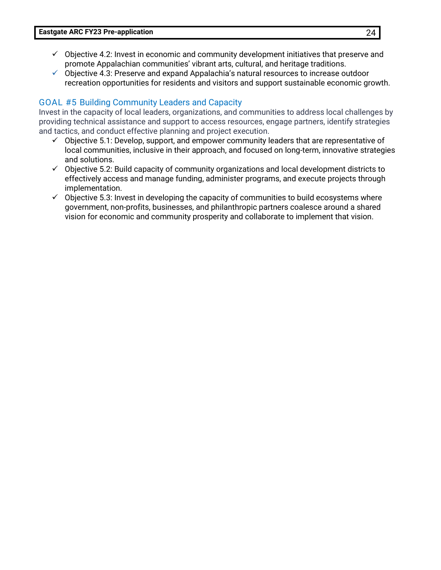- $\checkmark$  Objective 4.2: Invest in economic and community development initiatives that preserve and promote Appalachian communities' vibrant arts, cultural, and heritage traditions.
- $\checkmark$  Objective 4.3: Preserve and expand Appalachia's natural resources to increase outdoor recreation opportunities for residents and visitors and support sustainable economic growth.

#### GOAL #5 Building Community Leaders and Capacity

Invest in the capacity of local leaders, organizations, and communities to address local challenges by providing technical assistance and support to access resources, engage partners, identify strategies and tactics, and conduct effective planning and project execution.

- $\checkmark$  Objective 5.1: Develop, support, and empower community leaders that are representative of local communities, inclusive in their approach, and focused on long-term, innovative strategies and solutions.
- $\checkmark$  Objective 5.2: Build capacity of community organizations and local development districts to effectively access and manage funding, administer programs, and execute projects through implementation.
- $\checkmark$  Objective 5.3: Invest in developing the capacity of communities to build ecosystems where government, non-profits, businesses, and philanthropic partners coalesce around a shared vision for economic and community prosperity and collaborate to implement that vision.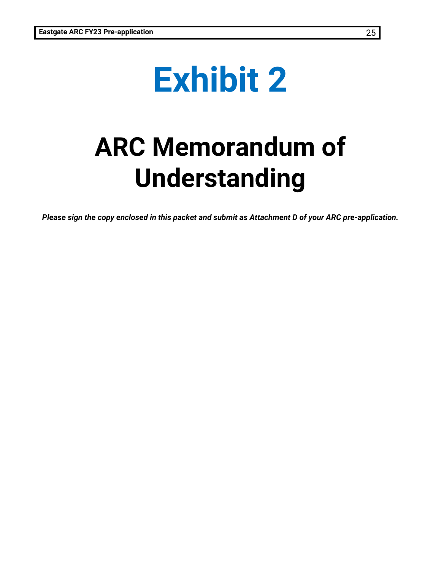# **Exhibit 2**

## **ARC Memorandum of Understanding**

*Please sign the copy enclosed in this packet and submit as Attachment D of your ARC pre-application.*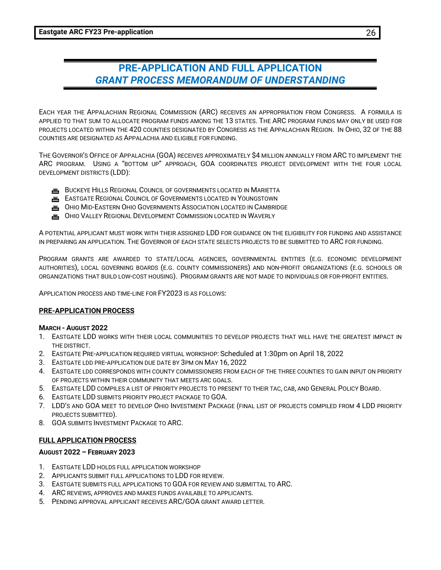### **PRE-APPLICATION AND FULL APPLICATION** *GRANT PROCESS MEMORANDUM OF UNDERSTANDING*

EACH YEAR THE APPALACHIAN REGIONAL COMMISSION (ARC) RECEIVES AN APPROPRIATION FROM CONGRESS. A FORMULA IS APPLIED TO THAT SUM TO ALLOCATE PROGRAM FUNDS AMONG THE 13 STATES. THE ARC PROGRAM FUNDS MAY ONLY BE USED FOR PROJECTS LOCATED WITHIN THE 420 COUNTIES DESIGNATED BY CONGRESS AS THE APPALACHIAN REGION. IN OHIO, 32 OF THE 88 COUNTIES ARE DESIGNATED AS APPALACHIA AND ELIGIBLE FOR FUNDING.

THE GOVERNOR'S OFFICE OF APPALACHIA (GOA) RECEIVES APPROXIMATELY \$4 MILLION ANNUALLY FROM ARC TO IMPLEMENT THE ARC PROGRAM. USING A "BOTTOM UP" APPROACH, GOA COORDINATES PROJECT DEVELOPMENT WITH THE FOUR LOCAL DEVELOPMENT DISTRICTS (LDD):

- **JOB** BUCKEYE HILLS REGIONAL COUNCIL OF GOVERNMENTS LOCATED IN MARIETTA
- **ERSTGATE REGIONAL COUNCIL OF GOVERNMENTS LOCATED IN YOUNGSTOWN**
- **TH** OHIO MID-EASTERN OHIO GOVERNMENTS ASSOCIATION LOCATED IN CAMBRIDGE
- **JOHIO VALLEY REGIONAL DEVELOPMENT COMMISSION LOCATED IN WAVERLY**

A POTENTIAL APPLICANT MUST WORK WITH THEIR ASSIGNED LDD FOR GUIDANCE ON THE ELIGIBILITY FOR FUNDING AND ASSISTANCE IN PREPARING AN APPLICATION. THE GOVERNOR OF EACH STATE SELECTS PROJECTS TO BE SUBMITTED TO ARC FOR FUNDING.

PROGRAM GRANTS ARE AWARDED TO STATE/LOCAL AGENCIES, GOVERNMENTAL ENTITIES (E.G. ECONOMIC DEVELOPMENT AUTHORITIES), LOCAL GOVERNING BOARDS (E.G. COUNTY COMMISSIONERS) AND NON-PROFIT ORGANIZATIONS (E.G. SCHOOLS OR ORGANIZATIONS THAT BUILD LOW-COST HOUSING). PROGRAM GRANTS ARE NOT MADE TO INDIVIDUALS OR FOR-PROFIT ENTITIES.

APPLICATION PROCESS AND TIME-LINE FOR FY2023 IS AS FOLLOWS:

#### **PRE-APPLICATION PROCESS**

#### **MARCH - AUGUST 2022**

- 1. EASTGATE LDD WORKS WITH THEIR LOCAL COMMUNITIES TO DEVELOP PROJECTS THAT WILL HAVE THE GREATEST IMPACT IN THE DISTRICT.
- 2. EASTGATE PRE-APPLICATION REQUIRED VIRTUAL WORKSHOP: Scheduled at 1:30pm on April 18, 2022
- 3. EASTGATE LDD PRE-APPLICATION DUE DATE BY 3PM ON MAY 16, 2022
- 4. EASTGATE LDD CORRESPONDS WITH COUNTY COMMISSIONERS FROM EACH OF THE THREE COUNTIES TO GAIN INPUT ON PRIORITY OF PROJECTS WITHIN THEIR COMMUNITY THAT MEETS ARC GOALS.
- 5. EASTGATE LDD COMPILES A LIST OF PRIORITY PROJECTS TO PRESENT TO THEIR TAC, CAB, AND GENERAL POLICY BOARD.
- 6. EASTGATE LDD SUBMITS PRIORITY PROJECT PACKAGE TO GOA.
- 7. LDD'S AND GOA MEET TO DEVELOP OHIO INVESTMENT PACKAGE (FINAL LIST OF PROJECTS COMPILED FROM 4 LDD PRIORITY PROJECTS SUBMITTED).
- 8. GOA SUBMITS INVESTMENT PACKAGE TO ARC.

#### **FULL APPLICATION PROCESS**

#### **AUGUST 2022 – FEBRUARY 2023**

- 1. EASTGATE LDD HOLDS FULL APPLICATION WORKSHOP
- 2. APPLICANTS SUBMIT FULL APPLICATIONS TO LDD FOR REVIEW.
- 3. EASTGATE SUBMITS FULL APPLICATIONS TO GOA FOR REVIEW AND SUBMITTAL TO ARC.
- 4. ARC REVIEWS, APPROVES AND MAKES FUNDS AVAILABLE TO APPLICANTS.
- 5. PENDING APPROVAL APPLICANT RECEIVES ARC/GOA GRANT AWARD LETTER.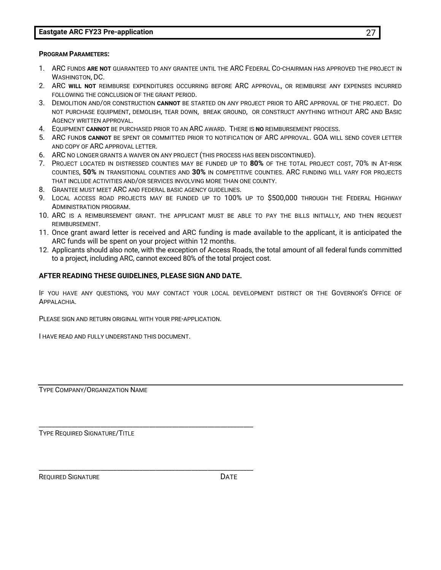#### **Eastgate ARC FY23 Pre-application** 27

#### **PROGRAM PARAMETERS:**

- 1. ARC FUNDS **ARE NOT** GUARANTEED TO ANY GRANTEE UNTIL THE ARC FEDERAL CO-CHAIRMAN HAS APPROVED THE PROJECT IN WASHINGTON, DC.
- 2. ARC **WILL NOT** REIMBURSE EXPENDITURES OCCURRING BEFORE ARC APPROVAL, OR REIMBURSE ANY EXPENSES INCURRED FOLLOWING THE CONCLUSION OF THE GRANT PERIOD.
- 3. DEMOLITION AND/OR CONSTRUCTION **CANNOT** BE STARTED ON ANY PROJECT PRIOR TO ARC APPROVAL OF THE PROJECT. DO NOT PURCHASE EQUIPMENT, DEMOLISH, TEAR DOWN, BREAK GROUND, OR CONSTRUCT ANYTHING WITHOUT ARC AND BASIC AGENCY WRITTEN APPROVAL.
- 4. EQUIPMENT **CANNOT** BE PURCHASED PRIOR TO AN ARC AWARD. THERE IS **NO** REIMBURSEMENT PROCESS.
- 5. ARC FUND**S CANNOT** BE SPENT OR COMMITTED PRIOR TO NOTIFICATION OF ARC APPROVAL. GOA WILL SEND COVER LETTER AND COPY OF ARC APPROVAL LETTER.
- 6. ARC NO LONGER GRANTS A WAIVER ON ANY PROJECT (THIS PROCESS HAS BEEN DISCONTINUED).
- 7. PROJECT LOCATED IN DISTRESSED COUNTIES MAY BE FUNDED UP TO **80%** OF THE TOTAL PROJECT COST, 70% IN AT-RISK COUNTIES, **50%** IN TRANSITIONAL COUNTIES AND **30%** IN COMPETITIVE COUNTIES. ARC FUNDING WILL VARY FOR PROJECTS THAT INCLUDE ACTIVITIES AND/OR SERVICES INVOLVING MORE THAN ONE COUNTY.
- 8. GRANTEE MUST MEET ARC AND FEDERAL BASIC AGENCY GUIDELINES.
- 9. LOCAL ACCESS ROAD PROJECTS MAY BE FUNDED UP TO 100% UP TO \$500,000 THROUGH THE FEDERAL HIGHWAY ADMINISTRATION PROGRAM.
- 10. ARC IS A REIMBURSEMENT GRANT. THE APPLICANT MUST BE ABLE TO PAY THE BILLS INITIALLY, AND THEN REQUEST REIMBURSEMENT.
- 11. Once grant award letter is received and ARC funding is made available to the applicant, it is anticipated the ARC funds will be spent on your project within 12 months.
- 12. Applicants should also note, with the exception of Access Roads, the total amount of all federal funds committed to a project, including ARC, cannot exceed 80% of the total project cost.

#### **AFTER READING THESE GUIDELINES, PLEASE SIGN AND DATE.**

\_\_\_\_\_\_\_\_\_\_\_\_\_\_\_\_\_\_\_\_\_\_\_\_\_\_\_\_\_\_\_\_\_\_\_\_\_\_\_\_\_\_\_\_\_\_\_\_\_\_\_\_\_\_\_\_\_\_\_\_\_\_\_\_\_\_

\_\_\_\_\_\_\_\_\_\_\_\_\_\_\_\_\_\_\_\_\_\_\_\_\_\_\_\_\_\_\_\_\_\_\_\_\_\_\_\_\_\_\_\_\_\_\_\_\_\_\_\_\_\_\_\_\_\_\_\_\_\_\_\_\_\_

IF YOU HAVE ANY QUESTIONS, YOU MAY CONTACT YOUR LOCAL DEVELOPMENT DISTRICT OR THE GOVERNOR'S OFFICE OF APPALACHIA.

PLEASE SIGN AND RETURN ORIGINAL WITH YOUR PRE-APPLICATION.

I HAVE READ AND FULLY UNDERSTAND THIS DOCUMENT.

TYPE COMPANY/ORGANIZATION NAME

TYPE REQUIRED SIGNATURE/TITLE

REQUIRED SIGNATURE **Example 20** DATE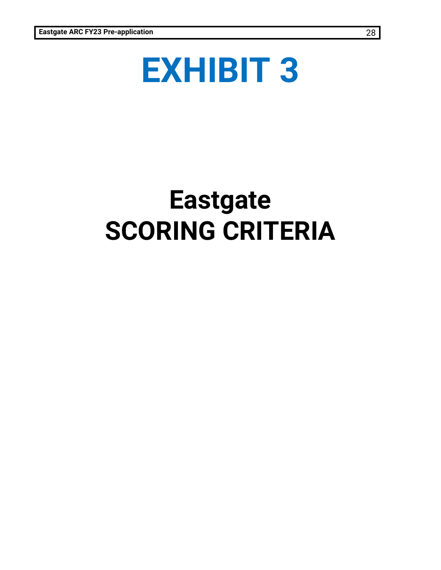# **EXHIBIT 3**

## **Eastgate SCORING CRITERIA**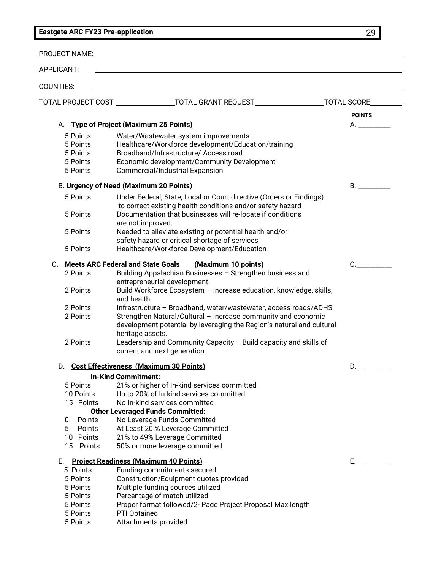#### **Eastgate ARC FY23 Pre-application** 29

|                                                                                            | PROJECT NAME: University of the contract of the contract of the contract of the contract of the contract of the contract of the contract of the contract of the contract of the contract of the contract of the contract of th                                                                           |                |
|--------------------------------------------------------------------------------------------|----------------------------------------------------------------------------------------------------------------------------------------------------------------------------------------------------------------------------------------------------------------------------------------------------------|----------------|
| APPLICANT:                                                                                 |                                                                                                                                                                                                                                                                                                          |                |
| <b>COUNTIES:</b>                                                                           |                                                                                                                                                                                                                                                                                                          |                |
|                                                                                            | TOTAL PROJECT COST _______________________TOTAL GRANT REQUEST___________________                                                                                                                                                                                                                         | TOTAL SCORE    |
|                                                                                            |                                                                                                                                                                                                                                                                                                          | <b>POINTS</b>  |
| А.                                                                                         | <b>Type of Project (Maximum 25 Points)</b>                                                                                                                                                                                                                                                               | A.             |
| 5 Points<br>5 Points<br>5 Points<br>5 Points<br>5 Points                                   | Water/Wastewater system improvements<br>Healthcare/Workforce development/Education/training<br>Broadband/Infrastructure/ Access road<br>Economic development/Community Development<br>Commercial/Industrial Expansion                                                                                    |                |
|                                                                                            | B. Urgency of Need (Maximum 20 Points)                                                                                                                                                                                                                                                                   | $B_{\rm{max}}$ |
| 5 Points<br>5 Points                                                                       | Under Federal, State, Local or Court directive (Orders or Findings)<br>to correct existing health conditions and/or safety hazard<br>Documentation that businesses will re-locate if conditions<br>are not improved.                                                                                     |                |
| 5 Points                                                                                   | Needed to alleviate existing or potential health and/or<br>safety hazard or critical shortage of services                                                                                                                                                                                                |                |
| 5 Points                                                                                   | Healthcare/Workforce Development/Education                                                                                                                                                                                                                                                               |                |
| C.                                                                                         | Meets ARC Federal and State Goals (Maximum 10 points)                                                                                                                                                                                                                                                    | C.             |
| 2 Points                                                                                   | Building Appalachian Businesses - Strengthen business and<br>entrepreneurial development                                                                                                                                                                                                                 |                |
| 2 Points                                                                                   | Build Workforce Ecosystem - Increase education, knowledge, skills,<br>and health                                                                                                                                                                                                                         |                |
| 2 Points                                                                                   | Infrastructure - Broadband, water/wastewater, access roads/ADHS                                                                                                                                                                                                                                          |                |
| 2 Points<br>2 Points                                                                       | Strengthen Natural/Cultural - Increase community and economic<br>development potential by leveraging the Region's natural and cultural<br>heritage assets.<br>Leadership and Community Capacity - Build capacity and skills of<br>current and next generation                                            |                |
|                                                                                            | D. Cost Effectiveness_(Maximum 30 Points)                                                                                                                                                                                                                                                                | D.             |
|                                                                                            | <b>In-Kind Commitment:</b>                                                                                                                                                                                                                                                                               |                |
| 5 Points<br>10 Points<br>15 Points<br>Points<br>0<br>5<br>Points<br>10 Points<br>15 Points | 21% or higher of In-kind services committed<br>Up to 20% of In-kind services committed<br>No In-kind services committed<br><b>Other Leveraged Funds Committed:</b><br>No Leverage Funds Committed<br>At Least 20 % Leverage Committed<br>21% to 49% Leverage Committed<br>50% or more leverage committed |                |
|                                                                                            |                                                                                                                                                                                                                                                                                                          |                |
| Е.<br>5 Points<br>5 Points<br>5 Points<br>5 Points<br>5 Points<br>5 Points<br>5 Points     | <b>Project Readiness (Maximum 40 Points)</b><br>Funding commitments secured<br>Construction/Equipment quotes provided<br>Multiple funding sources utilized<br>Percentage of match utilized<br>Proper format followed/2- Page Project Proposal Max length<br>PTI Obtained<br>Attachments provided         | $E_{\rm{z}}$   |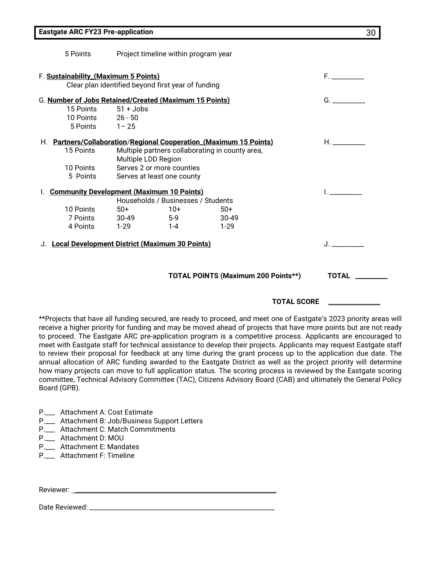|                                                              | 5 Points                           | Project timeline within program year                                                       |             |                                                                    |                                                   |  |
|--------------------------------------------------------------|------------------------------------|--------------------------------------------------------------------------------------------|-------------|--------------------------------------------------------------------|---------------------------------------------------|--|
|                                                              |                                    | F. Sustainability_(Maximum 5 Points)<br>Clear plan identified beyond first year of funding |             |                                                                    | F. Grand Co                                       |  |
|                                                              |                                    |                                                                                            |             |                                                                    |                                                   |  |
|                                                              |                                    | G. Number of Jobs Retained/Created (Maximum 15 Points)                                     |             |                                                                    | G.                                                |  |
|                                                              | 15 Points 51 + Jobs                |                                                                                            |             |                                                                    |                                                   |  |
|                                                              | 10 Points 26 - 50                  |                                                                                            |             |                                                                    |                                                   |  |
|                                                              | $5$ Points $1 - 25$                |                                                                                            |             |                                                                    |                                                   |  |
|                                                              |                                    |                                                                                            |             | H. Partners/Collaboration/Regional Cooperation_(Maximum 15 Points) | $H_{\rm *}$ and $H_{\rm *}$ are the set of $\sim$ |  |
| Multiple partners collaborating in county area,<br>15 Points |                                    |                                                                                            |             |                                                                    |                                                   |  |
|                                                              |                                    | Multiple LDD Region                                                                        |             |                                                                    |                                                   |  |
|                                                              | 10 Points                          | Serves 2 or more counties                                                                  |             |                                                                    |                                                   |  |
|                                                              | 5 Points                           | Serves at least one county                                                                 |             |                                                                    |                                                   |  |
|                                                              |                                    | I. Community Development (Maximum 10 Points)                                               |             |                                                                    |                                                   |  |
|                                                              | Households / Businesses / Students |                                                                                            |             |                                                                    |                                                   |  |
|                                                              | 10 Points                          | $50+$                                                                                      | $10+$       | $50+$                                                              |                                                   |  |
|                                                              |                                    | 7 Points 30-49 5-9                                                                         |             | 30-49                                                              |                                                   |  |
|                                                              | 4 Points                           | 1-29 1-4                                                                                   |             | $1-29$                                                             |                                                   |  |
| J. Local Development District (Maximum 30 Points)            |                                    |                                                                                            | $J_{\rm c}$ |                                                                    |                                                   |  |
|                                                              |                                    |                                                                                            |             |                                                                    |                                                   |  |
|                                                              |                                    |                                                                                            |             | <b>TOTAL POINTS (Maximum 200 Points**)</b>                         | <b>TOTAL</b>                                      |  |
|                                                              |                                    |                                                                                            |             |                                                                    |                                                   |  |
|                                                              |                                    |                                                                                            |             |                                                                    |                                                   |  |

 **TOTAL SCORE** \_\_\_\_\_\_\_\_\_\_\_\_\_\_\_\_

\*\*Projects that have all funding secured, are ready to proceed, and meet one of Eastgate's 2023 priority areas will receive a higher priority for funding and may be moved ahead of projects that have more points but are not ready to proceed. The Eastgate ARC pre-application program is a competitive process. Applicants are encouraged to meet with Eastgate staff for technical assistance to develop their projects. Applicants may request Eastgate staff to review their proposal for feedback at any time during the grant process up to the application due date. The annual allocation of ARC funding awarded to the Eastgate District as well as the project priority will determine how many projects can move to full application status. The scoring process is reviewed by the Eastgate scoring committee, Technical Advisory Committee (TAC), Citizens Advisory Board (CAB) and ultimately the General Policy Board (GPB).

P.\_\_\_ Attachment A: Cost Estimate

- P.\_\_\_ Attachment B: Job/Business Support Letters
- P.\_\_\_ Attachment C: Match Commitments
- P.\_\_\_ Attachment D: MOU
- P.\_\_\_ Attachment E: Mandates
- P.\_\_\_ Attachment F: Timeline

Reviewer:

Date Reviewed: \_\_\_\_\_\_\_\_\_\_\_\_\_\_\_\_\_\_\_\_\_\_\_\_\_\_\_\_\_\_\_\_\_\_\_\_\_\_\_\_\_\_\_\_\_\_\_\_\_\_\_\_\_\_\_\_\_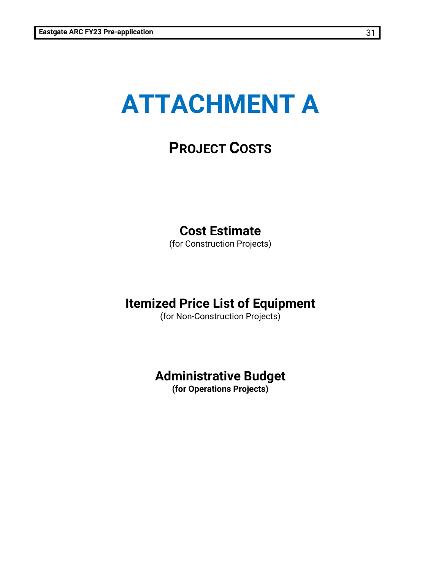## **ATTACHMENT A**

### **PROJECT COSTS**

### **Cost Estimate**

(for Construction Projects)

### **Itemized Price List of Equipment**

(for Non-Construction Projects)

### **Administrative Budget**

**(for Operations Projects)**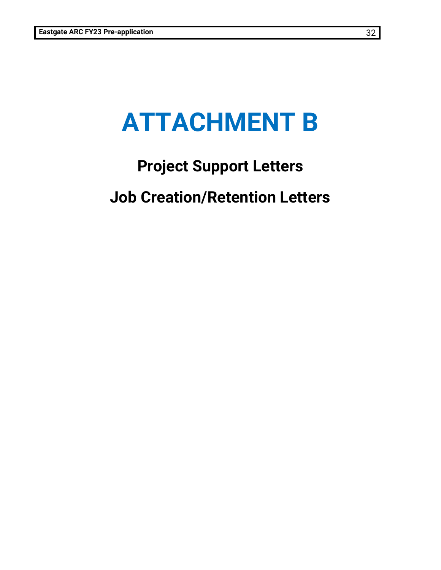## **ATTACHMENT B**

## **Project Support Letters Job Creation/Retention Letters**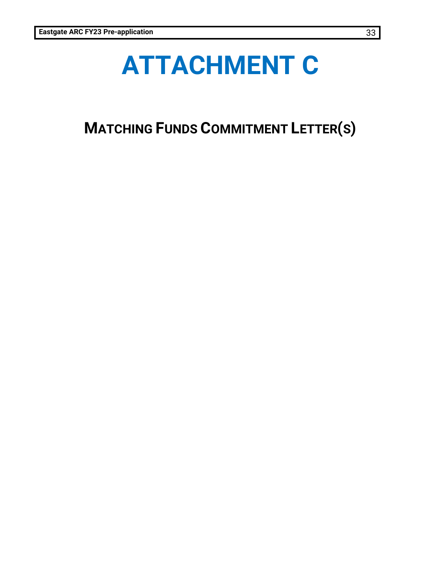## **ATTACHMENT C**

**MATCHING FUNDS COMMITMENT LETTER(S)**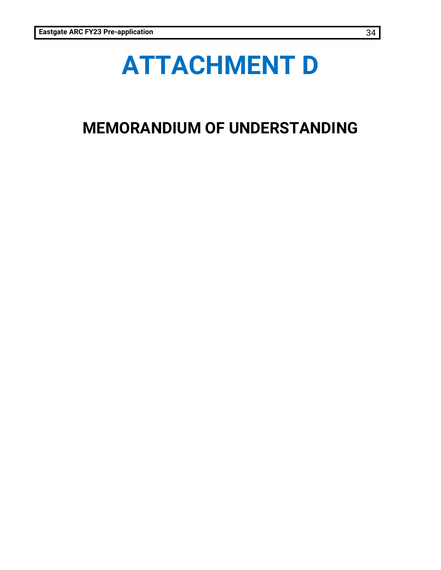## **ATTACHMENT D**

## **MEMORANDIUM OF UNDERSTANDING**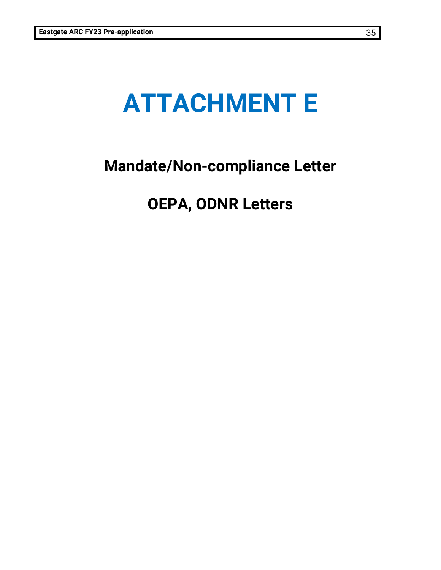## **ATTACHMENT E**

## **Mandate/Non-compliance Letter**

## **OEPA, ODNR Letters**